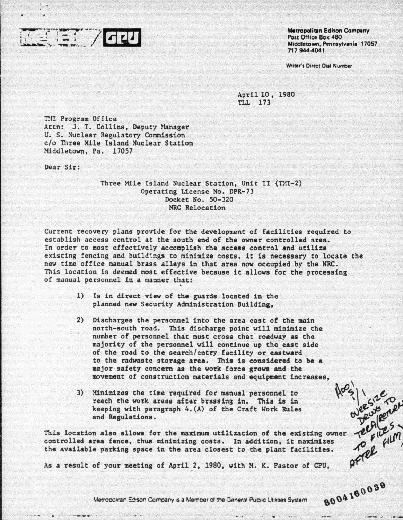

•

**Metropolitan Edison Company** Post Office Box 480 Middletown, Pennsylvania 17057 717 944-4041

8004160039

Writer's Direct Dial Number

April 10 , 1980 TLL 173

TMI Program Office Attn: J. T. Collins, Deputy Manager U. S. Nuclear Regulatory Commission c/o Three Mile Island Nuclear Station Middletown, Pa. 17057

Dear Sir:

Three Mile Island Nuclear Station, Unit II (TMI-2) Operating License No. DPR-73 Docket No. 50-320 NRC Relocation

Current recovery plans provide for the development of facilities required to establish access control at the south end of the owner controlled area. In order to most effectively accomplish the access control and utilize existing fencing and buildings to minimize costs, it is necessary to locate the new time office manual brass alleys in that area now occupied by the NRC. This location is deemed most effective because it allows for the processing of manual personnel in a manner that:

- 1) Is in direct view of the guards located in the planned new Security Administration Building,
- 2) Discharges the personnel into the area east of the main north-south road. This discharge point will minimize the number of personnel that must cross that roadway as the majority of the personnel will continue up tho east side of the road to the search/entry facility or eastward to the radwaste storage area. This is considered to be a major safety concern as the work force grows and the movement of construction materials and equipment increases,
- 3) Minimizes the time required for manual personnel to reach the work areas after brassing in. This is in keeping with paragraph 4.(A) of the Craft Work Rules and Regulations.

This location also allows for the maximum utilization of the existing owner deploted controlled area fence, thus minimizing costs. In addition, it maximizes the available parking space in the area closest to the plant fac controlled area fence, thus minimizing costs. In addition, it maximizes the available parking space in the area closest to the plant facilities.

As a result of your meeting of April 2. 1980, with M. K. Pastor of CPU,

Metropolitan Edison Company is a Member of the General Public Utilities System.